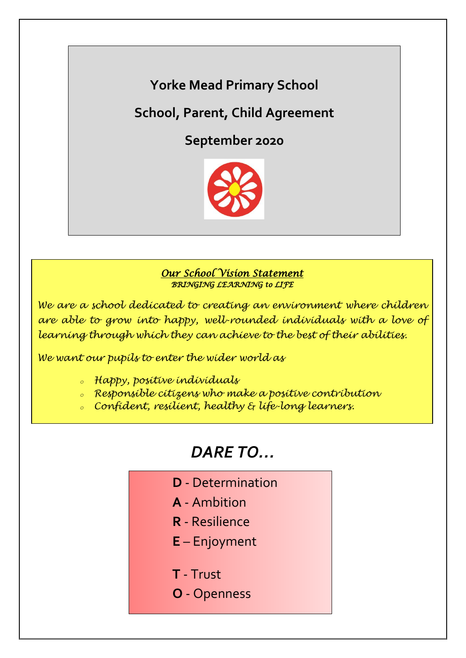### **Yorke Mead Primary School**

**School, Parent, Child Agreement**

**September 2020**



#### *Our School Vision Statement BRINGING LEARNING to LIFE*

*We are a school dedicated to creating an environment where children are able to grow into happy, well-rounded individuals with a love of learning through which they can achieve to the best of their abilities.*

*We want our pupils to enter the wider world as*

- *<sup>o</sup> Happy, positive individuals*
- *<sup>o</sup> Responsible citizens who make a positive contribution*
- *<sup>o</sup> Confident, resilient, healthy & life-long learners.*

### *DARE TO…*

- **D** Determination
- **A** Ambition
- **R** Resilience
- **E** Enjoyment
- **T** Trust
- **O** Openness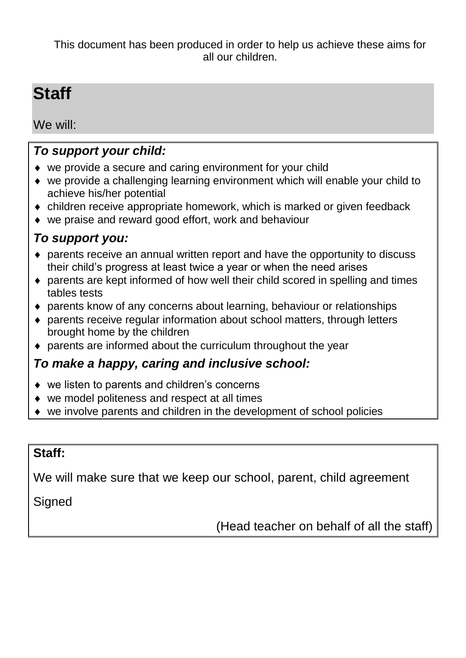This document has been produced in order to help us achieve these aims for all our children.

# **Staff**

We will:

#### *To support your child:*

- we provide a secure and caring environment for your child
- we provide a challenging learning environment which will enable your child to achieve his/her potential
- children receive appropriate homework, which is marked or given feedback
- we praise and reward good effort, work and behaviour

#### *To support you:*

- parents receive an annual written report and have the opportunity to discuss their child's progress at least twice a year or when the need arises
- parents are kept informed of how well their child scored in spelling and times tables tests
- parents know of any concerns about learning, behaviour or relationships
- parents receive regular information about school matters, through letters brought home by the children
- parents are informed about the curriculum throughout the year

#### *To make a happy, caring and inclusive school:*

- ◆ we listen to parents and children's concerns
- ◆ we model politeness and respect at all times
- we involve parents and children in the development of school policies

#### **Staff:**

We will make sure that we keep our school, parent, child agreement

**Signed** 

(Head teacher on behalf of all the staff)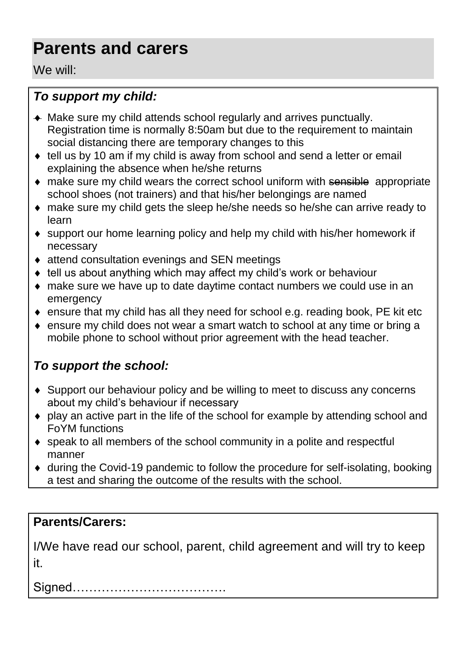## **Parents and carers**

We will:

#### *To support my child:*

- ◆ Make sure my child attends school regularly and arrives punctually. Registration time is normally 8:50am but due to the requirement to maintain social distancing there are temporary changes to this
- ◆ tell us by 10 am if my child is away from school and send a letter or email explaining the absence when he/she returns
- make sure my child wears the correct school uniform with sensible appropriate school shoes (not trainers) and that his/her belongings are named
- make sure my child gets the sleep he/she needs so he/she can arrive ready to learn
- support our home learning policy and help my child with his/her homework if necessary
- ◆ attend consultation evenings and SEN meetings
- ◆ tell us about anything which may affect my child's work or behaviour
- make sure we have up to date daytime contact numbers we could use in an emergency
- ensure that my child has all they need for school e.g. reading book, PE kit etc
- ensure my child does not wear a smart watch to school at any time or bring a mobile phone to school without prior agreement with the head teacher.

### *To support the school:*

- Support our behaviour policy and be willing to meet to discuss any concerns about my child's behaviour if necessary
- play an active part in the life of the school for example by attending school and FoYM functions
- speak to all members of the school community in a polite and respectful manner
- during the Covid-19 pandemic to follow the procedure for self-isolating, booking a test and sharing the outcome of the results with the school.

#### **Parents/Carers:**

I/We have read our school, parent, child agreement and will try to keep it.

Signed……………………………….